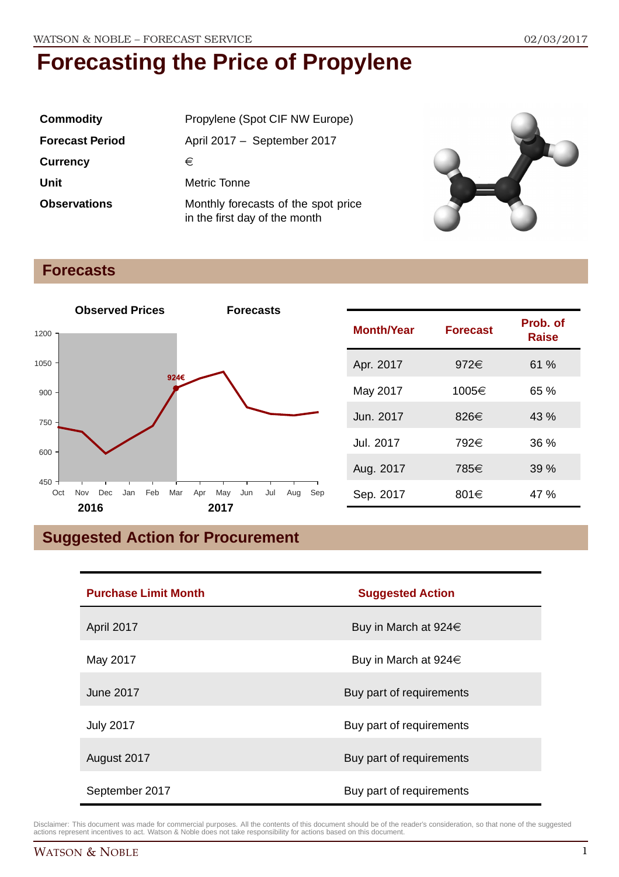| <b>Commodity</b>       | Propylene (Spot CIF NW Europe)                                       |
|------------------------|----------------------------------------------------------------------|
| <b>Forecast Period</b> | April 2017 - September 2017                                          |
| <b>Currency</b>        | €                                                                    |
| Unit                   | Metric Tonne                                                         |
| <b>Observations</b>    | Monthly forecasts of the spot price<br>in the first day of the month |



### **Forecasts**



| <b>Month/Year</b> | <b>Forecast</b> | Prob. of<br><b>Raise</b> |
|-------------------|-----------------|--------------------------|
| Apr. 2017         | 972€            | 61 %                     |
| May 2017          | 1005€           | 65%                      |
| Jun. 2017         | 826€            | 43%                      |
| Jul. 2017         | 792€            | 36%                      |
| Aug. 2017         | 785€            | 39%                      |
| Sep. 2017         | 801€            | 47 %                     |

## **Suggested Action for Procurement**

| <b>Purchase Limit Month</b> | <b>Suggested Action</b>   |
|-----------------------------|---------------------------|
| April 2017                  | Buy in March at 924€      |
| May 2017                    | Buy in March at $924 \in$ |
| June 2017                   | Buy part of requirements  |
| <b>July 2017</b>            | Buy part of requirements  |
| August 2017                 | Buy part of requirements  |
| September 2017              | Buy part of requirements  |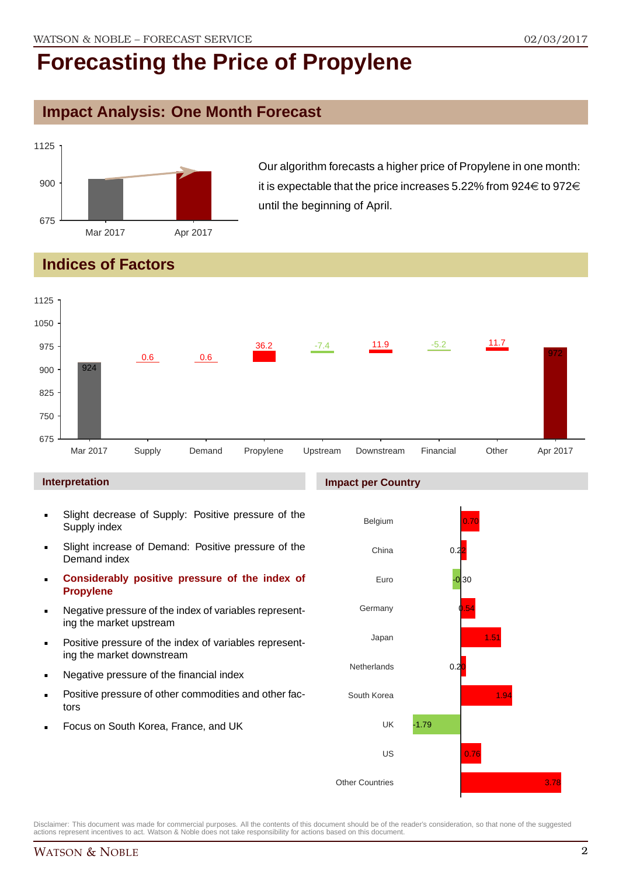## **Impact Analysis: One Month Forecast**



Our algorithm forecasts a higher price of Propylene in one month: it is expectable that the price increases 5.22% from 924 $\in$  to 972 $\in$ until the beginning of April.

## **Indices of Factors**



#### **Interpretation**

- Slight decrease of Supply: Positive pressure of the Supply index
- Slight increase of Demand: Positive pressure of the Demand index
- **Considerably positive pressure of the index of Propylene**
- Negative pressure of the index of variables representing the market upstream
- Positive pressure of the index of variables representing the market downstream
- Negative pressure of the financial index
- Positive pressure of other commodities and other factors
- Focus on South Korea, France, and UK

#### **Impact per Country**

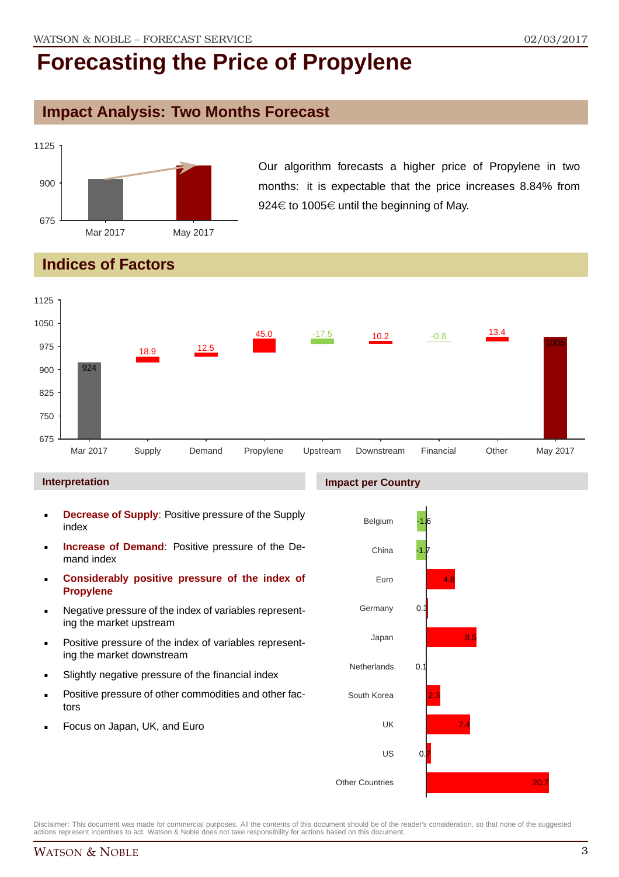### **Impact Analysis: Two Months Forecast**



Our algorithm forecasts a higher price of Propylene in two months: it is expectable that the price increases 8.84% from 924 $\in$  to 1005 $\in$  until the beginning of May.

## **Indices of Factors**



#### **Interpretation**

- **Decrease of Supply**: Positive pressure of the Supply index
- **Increase of Demand**: Positive pressure of the Demand index
- **Considerably positive pressure of the index of Propylene**
- Negative pressure of the index of variables representing the market upstream
- Positive pressure of the index of variables representing the market downstream
- Slightly negative pressure of the financial index
- Positive pressure of other commodities and other factors
- Focus on Japan, UK, and Euro

#### **Impact per Country**

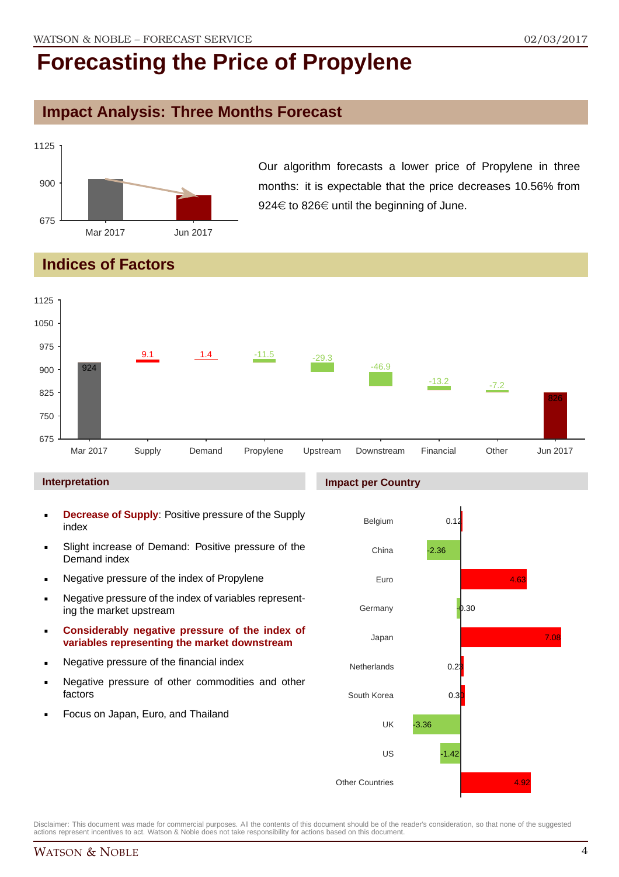### **Impact Analysis: Three Months Forecast**



Our algorithm forecasts a lower price of Propylene in three months: it is expectable that the price decreases 10.56% from 924 $\in$  to 826 $\in$  until the beginning of June.

## **Indices of Factors**



#### **Interpretation**

- **Decrease of Supply**: Positive pressure of the Supply index
- Slight increase of Demand: Positive pressure of the Demand index
- **Negative pressure of the index of Propylene**
- Negative pressure of the index of variables representing the market upstream
- **Considerably negative pressure of the index of variables representing the market downstream**
- **Negative pressure of the financial index**
- **Negative pressure of other commodities and other** factors
- Focus on Japan, Euro, and Thailand

#### **Impact per Country**

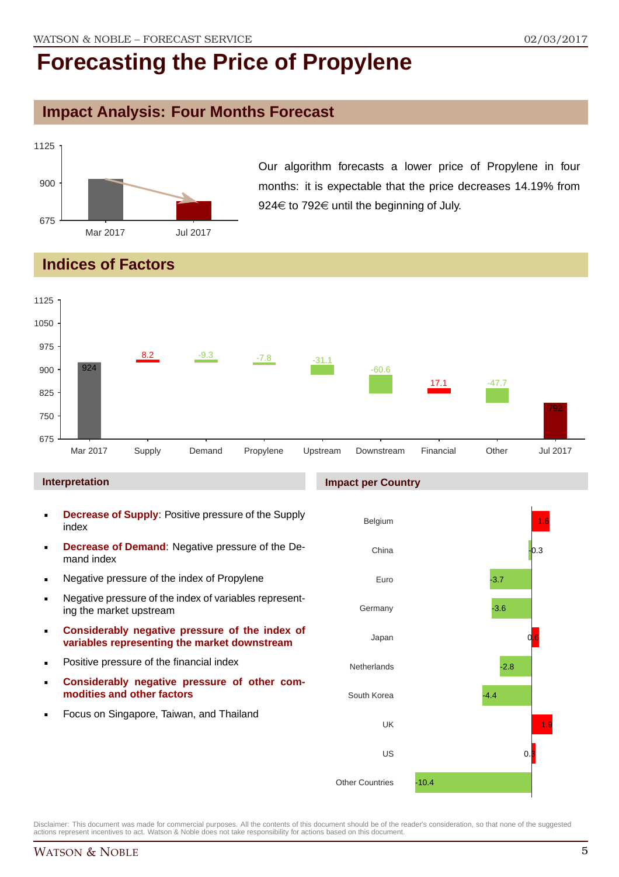## **Impact Analysis: Four Months Forecast**



Our algorithm forecasts a lower price of Propylene in four months: it is expectable that the price decreases 14.19% from 924 $\in$  to 792 $\in$  until the beginning of July.

## **Indices of Factors**



#### **Interpretation**

- **Decrease of Supply**: Positive pressure of the Supply index
- **Decrease of Demand**: Negative pressure of the Demand index
- **Negative pressure of the index of Propylene**
- Negative pressure of the index of variables representing the market upstream
- **Considerably negative pressure of the index of variables representing the market downstream**
- **•** Positive pressure of the financial index
- **Considerably negative pressure of other commodities and other factors**
- **Focus on Singapore, Taiwan, and Thailand**

#### **Impact per Country**

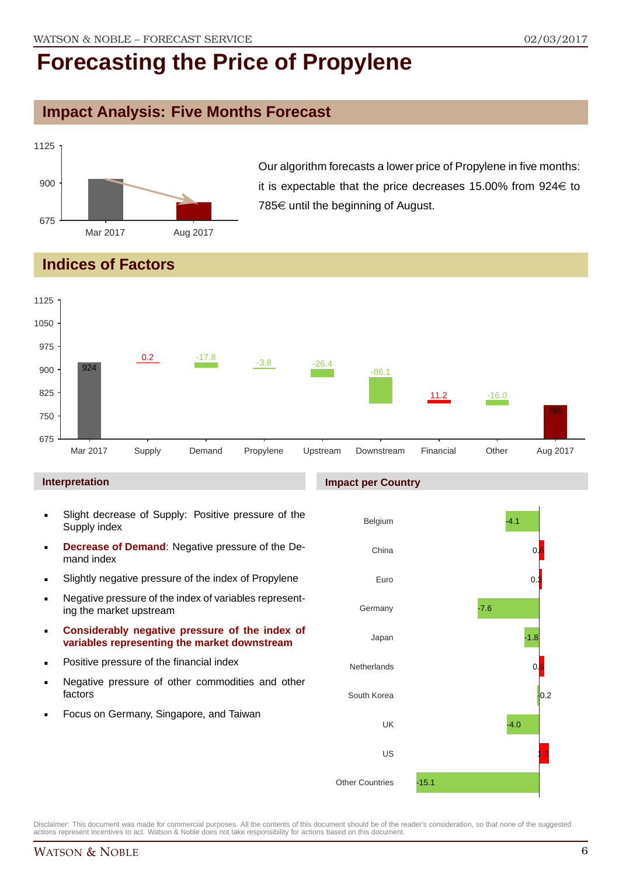## **Impact Analysis: Five Months Forecast**



Our algorithm forecasts a lower price of Propylene in five months: it is expectable that the price decreases 15.00% from  $924 \in$  to 785 $\in$  until the beginning of August.

## **Indices of Factors**



#### **Interpretation**

- Slight decrease of Supply: Positive pressure of the Supply index
- **Decrease of Demand**: Negative pressure of the Demand index
- Slightly negative pressure of the index of Propylene
- Negative pressure of the index of variables representing the market upstream
- **Considerably negative pressure of the index of variables representing the market downstream**
- **•** Positive pressure of the financial index
- **Negative pressure of other commodities and other** factors
- Focus on Germany, Singapore, and Taiwan

#### **Impact per Country**

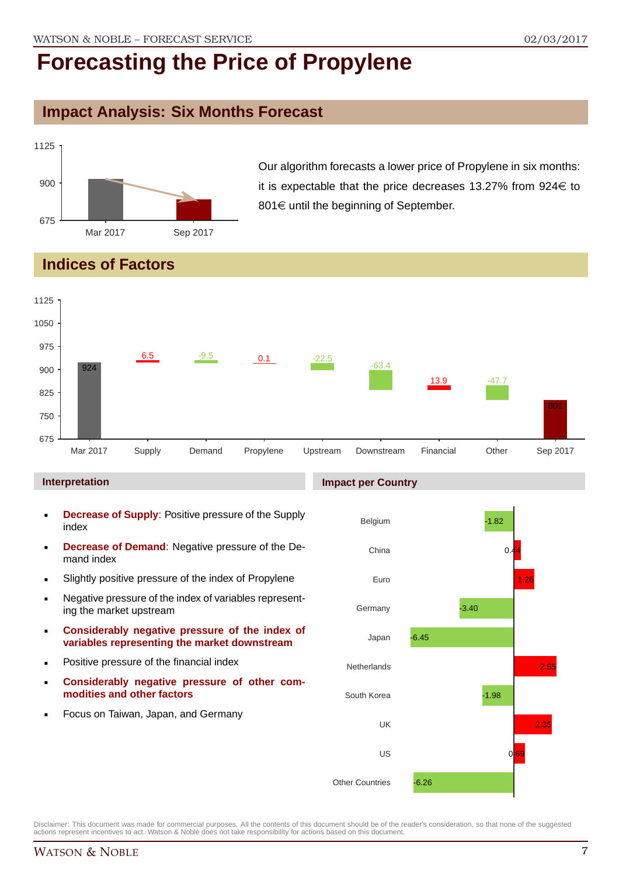## **Impact Analysis: Six Months Forecast**



Our algorithm forecasts a lower price of Propylene in six months: it is expectable that the price decreases 13.27% from  $924 \in$  to  $801 \in$  until the beginning of September.

## **Indices of Factors**



#### **Interpretation**

- **Decrease of Supply**: Positive pressure of the Supply index
- **Decrease of Demand**: Negative pressure of the Demand index
- Slightly positive pressure of the index of Propylene
- Negative pressure of the index of variables representing the market upstream
- **Considerably negative pressure of the index of variables representing the market downstream**
- **•** Positive pressure of the financial index
- **Considerably negative pressure of other commodities and other factors**
- **Focus on Taiwan, Japan, and Germany**

#### **Impact per Country**

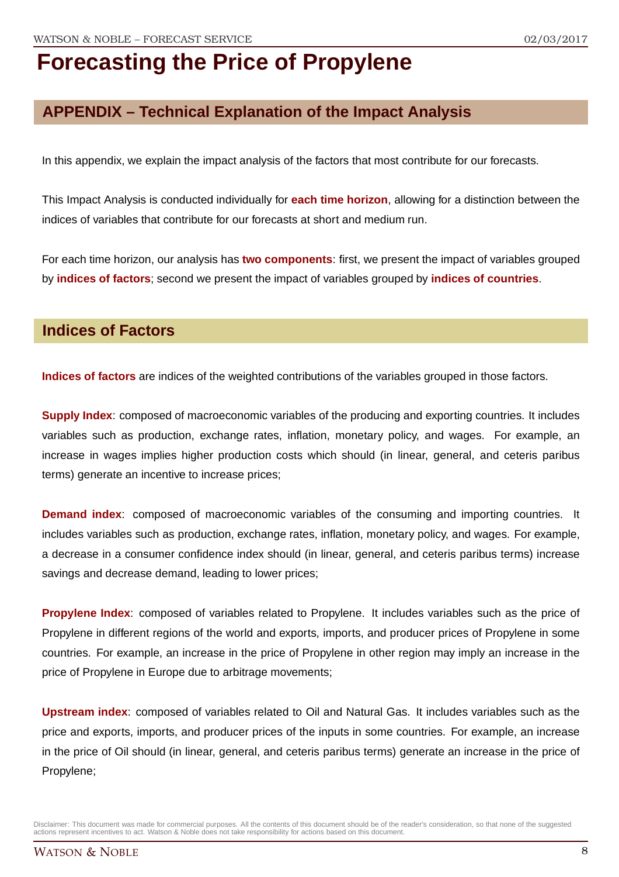## **APPENDIX – Technical Explanation of the Impact Analysis**

In this appendix, we explain the impact analysis of the factors that most contribute for our forecasts.

This Impact Analysis is conducted individually for **each time horizon**, allowing for a distinction between the indices of variables that contribute for our forecasts at short and medium run.

For each time horizon, our analysis has **two components**: first, we present the impact of variables grouped by **indices of factors**; second we present the impact of variables grouped by **indices of countries**.

### **Indices of Factors**

**Indices of factors** are indices of the weighted contributions of the variables grouped in those factors.

**Supply Index:** composed of macroeconomic variables of the producing and exporting countries. It includes variables such as production, exchange rates, inflation, monetary policy, and wages. For example, an increase in wages implies higher production costs which should (in linear, general, and ceteris paribus terms) generate an incentive to increase prices;

**Demand index**: composed of macroeconomic variables of the consuming and importing countries. It includes variables such as production, exchange rates, inflation, monetary policy, and wages. For example, a decrease in a consumer confidence index should (in linear, general, and ceteris paribus terms) increase savings and decrease demand, leading to lower prices;

**Propylene Index**: composed of variables related to Propylene. It includes variables such as the price of Propylene in different regions of the world and exports, imports, and producer prices of Propylene in some countries. For example, an increase in the price of Propylene in other region may imply an increase in the price of Propylene in Europe due to arbitrage movements;

**Upstream index**: composed of variables related to Oil and Natural Gas. It includes variables such as the price and exports, imports, and producer prices of the inputs in some countries. For example, an increase in the price of Oil should (in linear, general, and ceteris paribus terms) generate an increase in the price of Propylene;